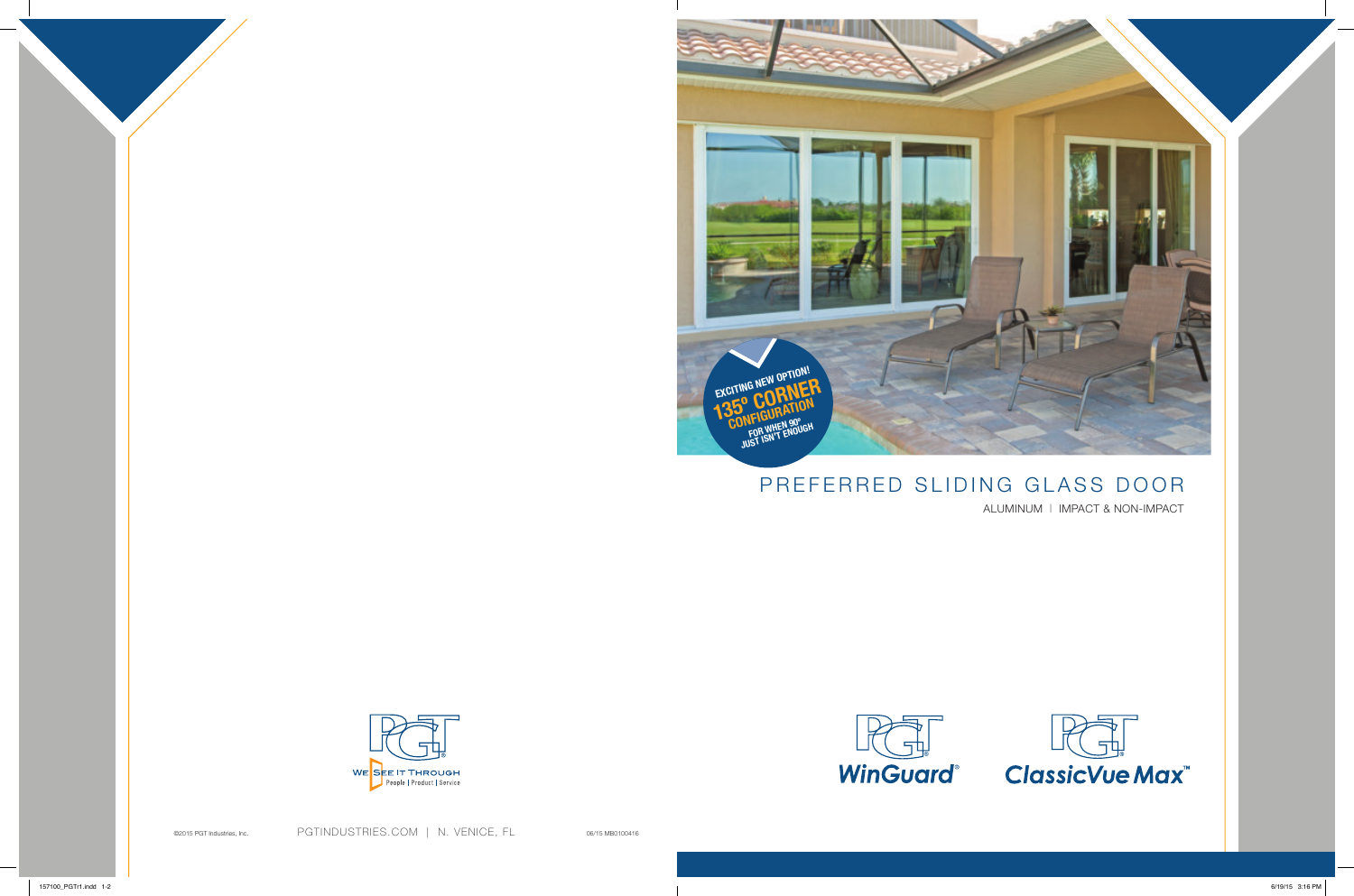

## PREFERRED SLIDING GLASS DOOR

ALUMINUM | IMPACT & NON-IMPACT